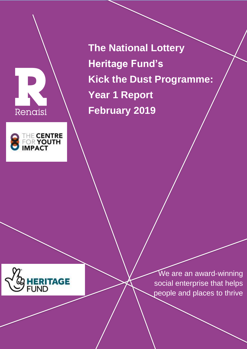



**The National Lottery Heritage Fund's Kick the Dust Programme: Year 1 Report February 2019**



We are an award-winning social enterprise that helps people and places to thrive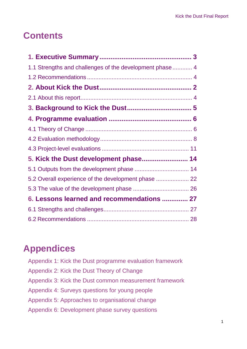# **Contents**

| 1.1 Strengths and challenges of the development phase 4 |  |
|---------------------------------------------------------|--|
|                                                         |  |
|                                                         |  |
|                                                         |  |
|                                                         |  |
|                                                         |  |
|                                                         |  |
|                                                         |  |
|                                                         |  |
| 5. Kick the Dust development phase 14                   |  |
|                                                         |  |
| 5.2 Overall experience of the development phase         |  |
|                                                         |  |
| 6. Lessons learned and recommendations  27              |  |
|                                                         |  |
|                                                         |  |

# **Appendices**

| Appendix 1: Kick the Dust programme evaluation framework |
|----------------------------------------------------------|
| Appendix 2: Kick the Dust Theory of Change               |
| Appendix 3: Kick the Dust common measurement framework   |
| Appendix 4: Surveys questions for young people           |
| Appendix 5: Approaches to organisational change          |
| Appendix 6: Development phase survey questions           |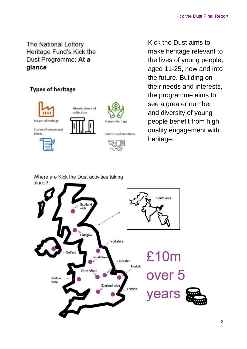The National Lottery Heritage Fund's Kick the Dust Programme: At a glance

# **Types of heritage**



Kick the Dust aims to make heritage relevant to the lives of young people, aged 11-25, now and into the future. Building on their needs and interests, the programme aims to see a greater number and diversity of young people benefit from high quality engagement with heritage.

Where are Kick the Dust activities taking place?

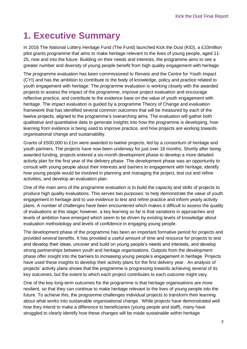# <span id="page-3-0"></span>**1. Executive Summary**

In 2016 The National Lottery Heritage Fund (The Fund) launched Kick the Dust (KtD), a £10million pilot grants programme that aims to make heritage relevant to the lives of young people, aged 11- 25, now and into the future. Building on their needs and interests, the programme aims to see a greater number and diversity of young people benefit from high quality engagement with heritage.

The programme evaluation has been commissioned to Renaisi and the Centre for Youth Impact (CYI) and has the ambition to contribute to the body of knowledge, policy and practice related to youth engagement with heritage. The programme evaluation is working closely with the awarded projects to assess the impact of the programme, improve project evaluation and encourage reflective practice, and contribute to the evidence base on the value of youth engagement with heritage. The impact evaluation is guided by a programme Theory of Change and evaluation framework that has identified several common outcomes that will be measured by each of the twelve projects, aligned to the programme's overarching aims. The evaluation will gather both qualitative and quantitative data to generate insights into how the programme is developing, how learning from evidence is being used to improve practice, and how projects are working towards organisational change and sustainability.

Grants of £500,000 to £1m were awarded to twelve projects, led by a consortium of heritage and youth partners. The projects have now been underway for just over 18 months. Shortly after being awarded funding, projects entered a six-month development phase to develop a more detailed activity plan for the first year of the delivery phase. The development phase was an opportunity to consult with young people about their interests and barriers to engagement with heritage, identify how young people would be involved in planning and managing the project, test out and refine activities, and develop an evaluation plan.

One of the main aims of the programme evaluation is to build the capacity and skills of projects to produce high quality evaluations. This serves two purposes: to help demonstrate the value of youth engagement in heritage and to use evidence to test and refine practice and inform yearly activity plans. A number of challenges have been encountered which makes it difficult to assess the quality of evaluations at this stage; however, a key learning so far is that variations in approaches and levels of ambition have emerged which seem to be driven by existing levels of knowledge about evaluation methodology and levels of confidence in engaging young people.

The development phase of the programme has been an important formative period for projects and provided several benefits. It has provided a useful amount of time and resource for projects to test and develop their ideas, uncover and build on young people's needs and interests, and develop strong partnerships between youth and heritage organisations. Outputs from the development phase offer insight into the barriers to increasing young people's engagement in heritage. Projects have used these insights to develop their activity plans for the first delivery year. An analysis of projects' activity plans shows that the programme is progressing towards achieving several of its key outcomes, but the extent to which each project contributes to each outcome might vary.

One of the key long-term outcomes for the programme is that heritage organisations are more resilient, so that they can continue to make heritage relevant to the lives of young people into the future. To achieve this, the programme challenges individual projects to transform their learning about what works into sustainable organisational change. While projects have demonstrated well how they intend to make a difference to beneficiaries (young people and staff), many have struggled to clearly identify how these changes will be made sustainable within heritage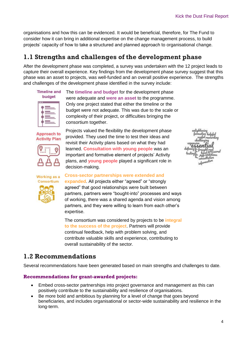organisations and how this can be evidenced. It would be beneficial, therefore, for The Fund to consider how it can bring in additional expertise on the change management process, to build projects' capacity of how to take a structured and planned approach to organisational change.

# <span id="page-4-0"></span>**1.1 Strengths and challenges of the development phase**

After the development phase was completed, a survey was undertaken with the 12 project leads to capture their overall experience. Key findings from the development phase survey suggest that this phase was an asset to projects, was well-funded and an overall positive experience. The strengths and challenges of the development phase identified in the survey include:



The **timeline and budget** for the development phase were adequate and **were an asset** to the programme. Only one project stated that either the timeline or the budget were not adequate. This was due to the scale or complexity of their project, or difficulties bringing the consortium together.

Approach to **Activity Plan** 



Projects valued the flexibility the development phase provided. They used the time to test their ideas and revisit their Activity plans based on what they had learned. **Consultation with young people** was an important and formative element of projects' Activity plans, and **young people** played a significant role in decision-making.



**Cross-sector partnerships were extended and expanded**. All projects either "agreed" or "strongly agreed" that good relationships were built between partners, partners were "bought-into" processes and ways of working, there was a shared agenda and vision among partners, and they were willing to learn from each other's expertise.

<span id="page-4-1"></span>The consortium was considered by projects to be **integral to the success of the project**. Partners will provide continual feedback, help with problem solving, and contribute valuable skills and experience, contributing to overall sustainability of the sector.

## **1.2 Recommendations**

Several recommendations have been generated based on main strengths and challenges to date.

#### **Recommendations for grant-awarded projects:**

- Embed cross-sector partnerships into project governance and management as this can positively contribute to the sustainability and resilience of organisations.
- Be more bold and ambitious by planning for a level of change that goes beyond beneficiaries, and includes organisational or sector-wide sustainability and resilience in the long-term.

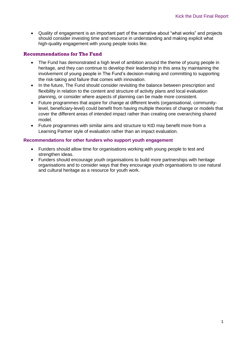Quality of engagement is an important part of the narrative about "what works" and projects should consider investing time and resource in understanding and making explicit what high-quality engagement with young people looks like.

#### **Recommendations for The Fund**

- The Fund has demonstrated a high level of ambition around the theme of young people in heritage, and they can continue to develop their leadership in this area by maintaining the involvement of young people in The Fund's decision-making and committing to supporting the risk-taking and failure that comes with innovation.
- In the future, The Fund should consider revisiting the balance between prescription and flexibility in relation to the content and structure of activity plans and local evaluation planning, or consider where aspects of planning can be made more consistent.
- Future programmes that aspire for change at different levels (organisational, communitylevel, beneficiary-level) could benefit from having multiple theories of change or models that cover the different areas of intended impact rather than creating one overarching shared model.
- Future programmes with similar aims and structure to KtD may benefit more from a Learning Partner style of evaluation rather than an impact evaluation.

#### **Recommendations for other funders who support youth engagement**

- Funders should allow time for organisations working with young people to test and strengthen ideas.
- Funders should encourage youth organisations to build more partnerships with heritage organisations and to consider ways that they encourage youth organisations to use natural and cultural heritage as a resource for youth work.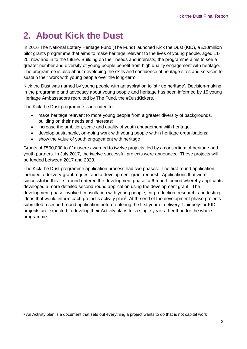# <span id="page-6-0"></span>**2. About Kick the Dust**

In 2016 The National Lottery Heritage Fund (The Fund) launched Kick the Dust (KtD), a £10million pilot grants programme that aims to make heritage relevant to the lives of young people, aged 11- 25, now and in to the future. Building on their needs and interests, the programme aims to see a greater number and diversity of young people benefit from high quality engagement with heritage. The programme is also about developing the skills and confidence of heritage sites and services to sustain their work with young people over the long-term.

Kick the Dust was named by young people with an aspiration to 'stir up heritage'. Decision-making in the programme and advocacy about young people and heritage has been informed by 15 young Heritage Ambassadors recruited by The Fund, the #DustKickers.

The Kick the Dust programme is intended to:

-

- make heritage relevant to more young people from a greater diversity of backgrounds, building on their needs and interests;
- increase the ambition, scale and quality of youth engagement with heritage;
- develop sustainable, on-going work with young people within heritage organisations;
- show the value of youth engagement with heritage

Grants of £500,000 to £1m were awarded to twelve projects, led by a consortium of heritage and youth partners. In July 2017, the twelve successful projects were announced. These projects will be funded between 2017 and 2023.

The Kick the Dust programme application process had two phases. The first-round application included a delivery-grant request and a development-grant request. Applications that were successful in this first-round entered the development phase, a 6-month period whereby applicants developed a more detailed second-round application using the development grant. The development phase involved consultation with young people, co-production, research, and testing ideas that would inform each project's activity plan<sup>1</sup>. At the end of the development phase projects submitted a second-round application before entering the first year of delivery. Uniquely for KtD, projects are expected to develop their Activity plans for a single year rather than for the whole programme.

<sup>1</sup> An Activity plan is a document that sets out everything a project wants to do that is not capital work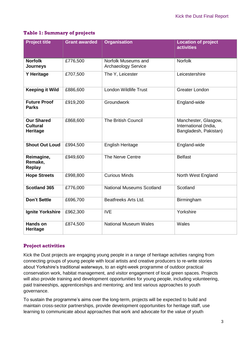### **Table 1: Summary of projects**

| <b>Project title</b>                             | <b>Grant awarded</b> | <b>Organisation</b>                               | <b>Location of project</b><br><b>activities</b>                        |
|--------------------------------------------------|----------------------|---------------------------------------------------|------------------------------------------------------------------------|
| <b>Norfolk</b><br><b>Journeys</b>                | £776,500             | Norfolk Museums and<br><b>Archaeology Service</b> | <b>Norfolk</b>                                                         |
| <b>Y Heritage</b>                                | £707,500             | The Y, Leicester                                  | Leicestershire                                                         |
| <b>Keeping it Wild</b>                           | £886,600             | London Wildlife Trust                             | <b>Greater London</b>                                                  |
| <b>Future Proof</b><br><b>Parks</b>              | £919,200             | Groundwork                                        | England-wide                                                           |
| <b>Our Shared</b><br><b>Cultural</b><br>Heritage | £868,600             | <b>The British Council</b>                        | Manchester, Glasgow,<br>International (India,<br>Bangladesh, Pakistan) |
| <b>Shout Out Loud</b>                            | £994,500             | <b>English Heritage</b>                           | England-wide                                                           |
| Reimagine,<br>Remake,<br><b>Replay</b>           | £949,600             | The Nerve Centre                                  | <b>Belfast</b>                                                         |
| <b>Hope Streets</b>                              | £998,800             | <b>Curious Minds</b>                              | North West England                                                     |
| <b>Scotland 365</b>                              | £776,000             | <b>National Museums Scotland</b>                  | Scotland                                                               |
| <b>Don't Settle</b>                              | £696,700             | Beatfreeks Arts Ltd.                              | Birmingham                                                             |
| <b>Ignite Yorkshire</b>                          | £962,300             | <b>IVE</b>                                        | Yorkshire                                                              |
| <b>Hands on</b><br><b>Heritage</b>               | £874,500             | <b>National Museum Wales</b>                      | Wales                                                                  |

#### **Project activities**

Kick the Dust projects are engaging young people in a range of heritage activities ranging from connecting groups of young people with local artists and creative producers to re-write stories about Yorkshire's traditional waterways, to an eight-week programme of outdoor practical conservation work, habitat management, and visitor engagement of local green spaces. Projects will also provide training and development opportunities for young people, including volunteering, paid traineeships, apprenticeships and mentoring; and test various approaches to youth governance.

To sustain the programme's aims over the long-term, projects will be expected to build and maintain cross-sector partnerships, provide development opportunities for heritage staff, use learning to communicate about approaches that work and advocate for the value of youth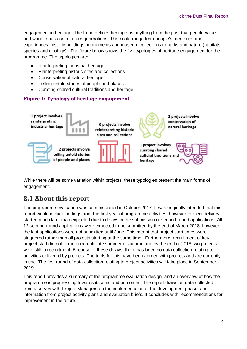engagement in heritage. The Fund defines heritage as anything from the past that people value and want to pass on to future generations. This could range from people's memories and experiences, historic buildings, monuments and museum collections to parks and nature (habitats, species and geology). The figure below shows the five typologies of heritage engagement for the programme. The typologies are:

- Reinterpreting industrial heritage
- Reinterpreting historic sites and collections
- Conservation of natural heritage
- Telling untold stories of people and places
- Curating shared cultural traditions and heritage

### **Figure 1: Typology of heritage engagement**



While there will be some variation within projects, these typologies present the main forms of engagement.

# <span id="page-8-0"></span>**2.1 About this report**

The programme evaluation was commissioned in October 2017. It was originally intended that this report would include findings from the first year of programme activities, however, project delivery started much later than expected due to delays in the submission of second-round applications. All 12 second-round applications were expected to be submitted by the end of March 2018, however the last applications were not submitted until June. This meant that project start times were staggered rather than all projects starting at the same time. Furthermore, recruitment of key project staff did not commence until late summer or autumn and by the end of 2018 two projects were still in recruitment. Because of these delays, there has been no data collection relating to activities delivered by projects. The tools for this have been agreed with projects and are currently in use. The first round of data collection relating to project activities will take place in September 2019.

This report provides a summary of the programme evaluation design, and an overview of how the programme is progressing towards its aims and outcomes. The report draws on data collected from a survey with Project Managers on the implementation of the development phase, and information from project activity plans and evaluation briefs. It concludes with recommendations for improvement in the future.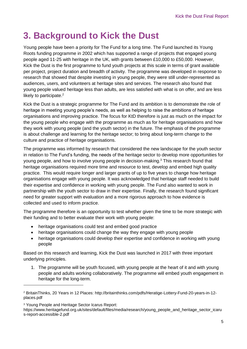# <span id="page-9-0"></span>**3. Background to Kick the Dust**

Young people have been a priority for The Fund for a long time. The Fund launched its Young Roots funding programme in 2002 which has supported a range of projects that engaged young people aged 11-25 with heritage in the UK, with grants between £10,000 to £50,000. However, Kick the Dust is the first programme to fund youth projects at this scale in terms of grant available per project, project duration and breadth of activity. The programme was developed in response to research that showed that despite investing in young people, they were still under-represented as audiences, users, and volunteers at heritage sites and services. The research also found that young people valued heritage less than adults, are less satisfied with what is on offer, and are less likely to participate.<sup>2</sup>

Kick the Dust is a strategic programme for The Fund and its ambition is to demonstrate the role of heritage in meeting young people's needs, as well as helping to raise the ambitions of heritage organisations and improving practice. The focus for KtD therefore is just as much on the impact for the young people who engage with the programme as much as for heritage organisations and how they work with young people (and the youth sector) in the future. The emphasis of the programme is about challenge and learning for the heritage sector; to bring about long-term change to the culture and practice of heritage organisations.

The programme was informed by research that considered the new landscape for the youth sector in relation to The Fund's funding, the needs of the heritage sector to develop more opportunities for young people, and how to involve young people in decision-making.<sup>3</sup> This research found that heritage organisations required more time and resource to test, develop and embed high quality practice. This would require longer and larger grants of up to five years to change how heritage organisations engage with young people. It was acknowledged that heritage staff needed to build their expertise and confidence in working with young people. The Fund also wanted to work in partnership with the youth sector to draw in their expertise. Finally, the research found significant need for greater support with evaluation and a more rigorous approach to how evidence is collected and used to inform practice.

The programme therefore is an opportunity to test whether given the time to be more strategic with their funding and to better evaluate their work with young people:

- heritage organisations could test and embed good practice
- heritage organisations could change the way they engage with young people
- heritage organisations could develop their expertise and confidence in working with young people

Based on this research and learning, Kick the Dust was launched in 2017 with three important underlying principles.

1. The programme will be youth focused, with young people at the heart of it and with young people and adults working collaboratively. The programme will embed youth engagement in heritage for the long-term.

<sup>3</sup> Young People and Heritage Sector Icarus Report:

-

https://www.heritagefund.org.uk/sites/default/files/media/research/young\_people\_and\_heritage\_sector\_icaru s-report-accessible-2.pdf

<sup>2</sup> BritainThinks, 20 Years in 12 Places: http://britainthinks.com/pdfs/Heratige-Lottery-Fund-20-years-in-12 places.pdf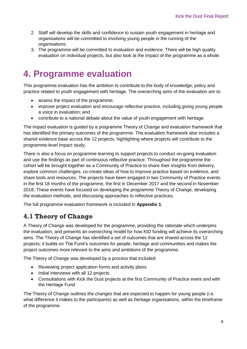- 2. Staff will develop the skills and confidence to sustain youth engagement in heritage and organisations will be committed to involving young people in the running of the organisations.
- 3. The programme will be committed to evaluation and evidence. There will be high quality evaluation on individual projects, but also look at the impact of the programme as a whole.

# <span id="page-10-0"></span>**4. Programme evaluation**

This programme evaluation has the ambition to contribute to the body of knowledge, policy and practice related to youth engagement with heritage. The overarching aims of the evaluation are to:

- assess the impact of the programme;
- improve project evaluation and encourage reflective practice, including giving young people a voice in evaluation; and
- contribute to a national debate about the value of youth engagement with heritage.

The impact evaluation is guided by a programme Theory of Change and evaluation framework that has identified the primary outcomes of the programme. The evaluation framework also includes a shared evidence base across the 12 projects, highlighting where projects will contribute to the programme-level impact study.

There is also a focus on programme learning to support projects to conduct on-going evaluation and use the findings as part of continuous reflective practice. Throughout the programme the cohort will be brought together as a Community of Practice to share their insights from delivery, explore common challenges, co-create ideas of how to improve practice based on evidence, and share tools and resources. The projects have been engaged in two Community of Practice events in the first 18 months of the programme, the first in December 2017 and the second in November 2018. These events have focused on developing the programme Theory of Change, developing the evaluation methods, and discussing approaches to reflective practices.

The full programme evaluation framework is included in **Appendix 1**.

# <span id="page-10-1"></span>**4.1 Theory of Change**

A Theory of Change was developed for the programme, providing the rationale which underpins the evaluation, and presents an overarching model for how KtD funding will achieve its overarching aims. The Theory of Change has identified a set of outcomes that are shared across the 12 projects; it builds on The Fund's outcomes for people, heritage and communities and makes the project outcomes more relevant to the aims and ambitions of the programme.

The Theory of Change was developed by a process that included:

- Reviewing project application forms and activity plans
- Initial interviews with all 12 projects
- Consultations with Kick the Dust projects at the first Community of Practice event and with the Heritage Fund

The Theory of Change outlines the changes that are expected to happen for young people (i.e. what difference it makes to the participants) as well as heritage organisations, within the timeframe of the programme.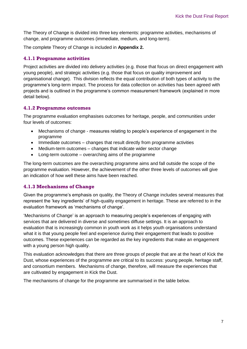The Theory of Change is divided into three key elements: programme activities, mechanisms of change, and programme outcomes (immediate, medium, and long-term).

The complete Theory of Change is included in **Appendix 2.**

### **4.1.1 Programme activities**

Project activities are divided into delivery activities (e.g. those that focus on direct engagement with young people), and strategic activities (e.g. those that focus on quality improvement and organisational change). This division reflects the equal contribution of both types of activity to the programme's long-term impact. The process for data collection on activities has been agreed with projects and is outlined in the programme's common measurement framework (explained in more detail below).

#### **4.1.2 Programme outcomes**

The programme evaluation emphasises outcomes for heritage, people, and communities under four levels of outcomes:

- Mechanisms of change measures relating to people's experience of engagement in the programme
- Immediate outcomes changes that result directly from programme activities
- Medium-term outcomes changes that indicate wider sector change
- Long-term outcome overarching aims of the programme

The long-term outcomes are the overarching programme aims and fall outside the scope of the programme evaluation. However, the achievement of the other three levels of outcomes will give an indication of how well these aims have been reached.

#### **4.1.3 Mechanisms of Change**

Given the programme's emphasis on quality, the Theory of Change includes several measures that represent the 'key ingredients' of high-quality engagement in heritage. These are referred to in the evaluation framework as 'mechanisms of change'.

'Mechanisms of Change' is an approach to measuring people's experiences of engaging with services that are delivered in diverse and sometimes diffuse settings. It is an approach to evaluation that is increasingly common in youth work as it helps youth organisations understand what it is that young people feel and experience during their engagement that leads to positive outcomes. These experiences can be regarded as the key ingredients that make an engagement with a young person high quality.

This evaluation acknowledges that there are three groups of people that are at the heart of Kick the Dust, whose experiences of the programme are critical to its success: young people, heritage staff, and consortium members. Mechanisms of change, therefore, will measure the experiences that are cultivated by engagement in Kick the Dust.

The mechanisms of change for the programme are summarised in the table below.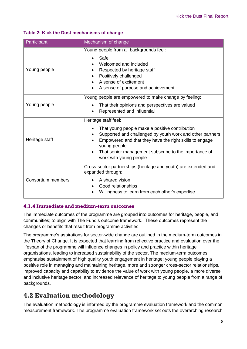#### **Table 2: Kick the Dust mechanisms of change**

| Participant        | Mechanism of change                                                                                                                                                                                                                                                                               |  |
|--------------------|---------------------------------------------------------------------------------------------------------------------------------------------------------------------------------------------------------------------------------------------------------------------------------------------------|--|
| Young people       | Young people from all backgrounds feel:<br>Safe<br>Welcomed and included<br>Respected by heritage staff<br>Positively challenged<br>A sense of excitement<br>A sense of purpose and achievement                                                                                                   |  |
| Young people       | Young people are empowered to make change by feeling:<br>That their opinions and perspectives are valued<br>Represented and influential                                                                                                                                                           |  |
| Heritage staff     | Heritage staff feel:<br>That young people make a positive contribution<br>Supported and challenged by youth work and other partners<br>Empowered and that they have the right skills to engage<br>young people<br>That senior management subscribe to the importance of<br>work with young people |  |
| Consortium members | Cross-sector partnerships (heritage and youth) are extended and<br>expanded through:<br>A shared vision<br>Good relationships<br>Willingness to learn from each other's expertise                                                                                                                 |  |

#### **4.1.4 Immediate and medium-term outcomes**

The immediate outcomes of the programme are grouped into outcomes for heritage, people, and communities; to align with The Fund's outcome framework. These outcomes represent the changes or benefits that result from programme activities

The programme's aspirations for sector-wide change are outlined in the medium-term outcomes in the Theory of Change. It is expected that learning from reflective practice and evaluation over the lifespan of the programme will influence changes in policy and practice within heritage organisations, leading to increased sustainability of the sector. The medium-term outcomes emphasise sustainment of high quality youth engagement in heritage; young people playing a positive role in managing and maintaining heritage, more and stronger cross-sector relationships, improved capacity and capability to evidence the value of work with young people, a more diverse and inclusive heritage sector, and increased relevance of heritage to young people from a range of backgrounds.

## <span id="page-12-0"></span>**4.2 Evaluation methodology**

The evaluation methodology is informed by the programme evaluation framework and the common measurement framework. The programme evaluation framework set outs the overarching research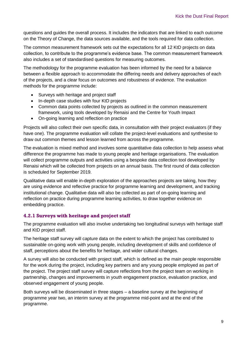questions and guides the overall process. It includes the indicators that are linked to each outcome on the Theory of Change, the data sources available, and the tools required for data collection.

The common measurement framework sets out the expectations for all 12 KtD projects on data collection, to contribute to the programme's evidence base. The common measurement framework also includes a set of standardised questions for measuring outcomes.

The methodology for the programme evaluation has been informed by the need for a balance between a flexible approach to accommodate the differing needs and delivery approaches of each of the projects, and a clear focus on outcomes and robustness of evidence. The evaluation methods for the programme include:

- Surveys with heritage and project staff
- In-depth case studies with four KtD projects
- Common data points collected by projects as outlined in the common measurement framework, using tools developed by Renaisi and the Centre for Youth Impact
- On-going learning and reflection on practice

Projects will also collect their own specific data, in consultation with their project evaluators (if they have one). The programme evaluation will collate the project-level evaluations and synthesise to draw out common themes and lesson learned from across the programme.

The evaluation is mixed method and involves some quantitative data collection to help assess what difference the programme has made to young people and heritage organisations. The evaluation will collect programme outputs and activities using a bespoke data collection tool developed by Renaisi which will be collected from projects on an annual basis. The first round of data collection is scheduled for September 2019.

Qualitative data will enable in-depth exploration of the approaches projects are taking, how they are using evidence and reflective practice for programme learning and development, and tracking institutional change. Qualitative data will also be collected as part of on-going learning and reflection on practice during programme learning activities, to draw together evidence on embedding practice.

#### **4.2.1 Surveys with heritage and project staff**

The programme evaluation will also involve undertaking two longitudinal surveys with heritage staff and KtD project staff.

The heritage staff survey will capture data on the extent to which the project has contributed to sustainable on-going work with young people, including development of skills and confidence of staff, perceptions about the benefits for heritage, and wider cultural changes.

A survey will also be conducted with project staff, which is defined as the main people responsible for the work during the project, including key partners and any young people employed as part of the project. The project staff survey will capture reflections from the project team on working in partnership, changes and improvements in youth engagement practice, evaluation practice, and observed engagement of young people.

Both surveys will be disseminated in three stages – a baseline survey at the beginning of programme year two, an interim survey at the programme mid-point and at the end of the programme.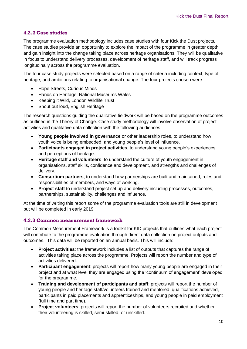### **4.2.2 Case studies**

The programme evaluation methodology includes case studies with four Kick the Dust projects. The case studies provide an opportunity to explore the impact of the programme in greater depth and gain insight into the change taking place across heritage organisations. They will be qualitative in focus to understand delivery processes, development of heritage staff, and will track progress longitudinally across the programme evaluation.

The four case study projects were selected based on a range of criteria including context, type of heritage, and ambitions relating to organisational change. The four projects chosen were:

- Hope Streets, Curious Minds
- Hands on Heritage, National Museums Wales
- Keeping it Wild, London Wildlife Trust
- Shout out loud, English Heritage

The research questions guiding the qualitative fieldwork will be based on the programme outcomes as outlined in the Theory of Change. Case study methodology will involve observation of project activities and qualitative data collection with the following audiences:

- **Young people involved in governance** or other leadership roles, to understand how youth voice is being embedded, and young people's level of influence.
- **Participants engaged in project activities**, to understand young people's experiences and perceptions of heritage.
- **Heritage staff and volunteers**, to understand the culture of youth engagement in organisations, staff skills, confidence and development, and strengths and challenges of delivery.
- **Consortium partners**, to understand how partnerships are built and maintained, roles and responsibilities of members, and ways of working.
- **Project staff** to understand project set up and delivery including processes, outcomes, partnerships, sustainability, challenges and influence.

At the time of writing this report some of the programme evaluation tools are still in development but will be completed in early 2019.

#### **4.2.3 Common measurement framework**

The Common Measurement Framework is a toolkit for KtD projects that outlines what each project will contribute to the programme evaluation through direct data collection on project outputs and outcomes. This data will be reported on an annual basis. This will include:

- **Project activities**: the framework includes a list of outputs that captures the range of activities taking place across the programme. Projects will report the number and type of activities delivered.
- **Participant engagement**: projects will report how many young people are engaged in their project and at what level they are engaged using the 'continuum of engagement' developed for the programme.
- **Training and development of participants and staff**: projects will report the number of young people and heritage staff/volunteers trained and mentored, qualifications achieved, participants in paid placements and apprenticeships, and young people in paid employment (full time and part time).
- **Project volunteers**: projects will report the number of volunteers recruited and whether their volunteering is skilled, semi-skilled, or unskilled.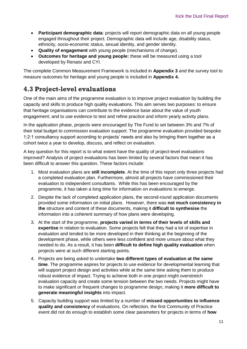- **Participant demographic data**: projects will report demographic data on all young people engaged throughout their project. Demographic data will include age, disability status, ethnicity, socio-economic status, sexual identity, and gender identity.
- **Quality of engagement** with young people (mechanisms of change).
- **Outcomes for heritage and young people:** these will be measured using a tool developed by Renaisi and CYI.

The complete Common Measurement Framework is included in **Appendix 3** and the survey tool to measure outcomes for heritage and young people is included in **Appendix 4.**

## <span id="page-15-0"></span>**4.3 Project-level evaluations**

One of the main aims of the programme evaluation is to improve project evaluation by building the capacity and skills to produce high quality evaluations. This aim serves two purposes: to ensure that heritage organisations can contribute to the evidence base about the value of youth engagement; and to use evidence to test and refine practice and inform yearly activity plans.

In the application phase, projects were encouraged by The Fund to set between 3% and 7% of their total budget to commission evaluation support. The programme evaluation provided bespoke 1:2:1 consultancy support according to projects' needs and also by bringing them together as a cohort twice a year to develop, discuss, and reflect on evaluation.

A key question for this report is to what extent have the quality of project-level evaluations improved? Analysis of project evaluations has been limited by several factors that mean it has been difficult to answer this question. These factors include:

- 1. Most evaluation plans are **still incomplete**. At the time of this report only three projects had a completed evaluation plan. Furthermore, almost all projects have commissioned their evaluation to independent consultants. While this has been encouraged by the programme, it has taken a long time for information on evaluations to emerge.
- 2. Despite the lack of completed application plans, the second-round application documents provided some information on initial plans. However, there was **not much consistency in the** structure and content of these documents, making it **difficult to synthesise** the information into a coherent summary of how plans were developing.
- 3. At the start of the programme, **projects varied in terms of their levels of skills and expertise** in relation to evaluation. Some projects felt that they had a lot of expertise in evaluation and tended to be more developed in their thinking at the beginning of the development phase, while others were less confident and more unsure about what they needed to do. As a result, it has been **difficult to define high quality evaluation** when projects were at such different starting points.
- 4. Projects are being asked to undertake **two different types of evaluation at the same time**. The programme aspires for projects to use evidence for developmental learning that will support project design and activities while at the same time asking them to produce robust evidence of impact. Trying to achieve both in one project might overstretch evaluation capacity and create some tension between the two needs. Projects might have to make significant or frequent changes to programme design, making it **more difficult to generate meaningful insights** into impact.
- 5. Capacity building support was limited by a number of **missed opportunities to influence quality and consistency** of evaluations. On reflection, the first Community of Practice event did not do enough to establish some clear parameters for projects in terms of **how**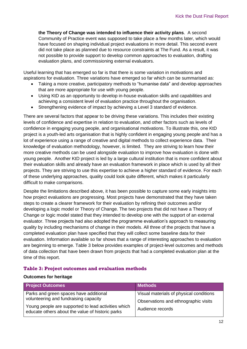**the Theory of Change was intended to influence their activity plans**. A second Community of Practice event was supposed to take place a few months later, which would have focused on shaping individual project evaluations in more detail. This second event did not take place as planned due to resource constraints at The Fund. As a result, it was not possible to provide support to develop common approaches to evaluation, drafting evaluation plans, and commissioning external evaluators.

Useful learning that has emerged so far is that there is some variation in motivations and aspirations for evaluation. Three variations have emerged so far which can be summarised as:

- Taking a more creative, participatory methods to "humanise data" and develop approaches that are more appropriate for use with young people.
- Using KtD as an opportunity to develop in-house evaluation skills and capabilities and achieving a consistent level of evaluation practice throughout the organisation.
- Strengthening evidence of impact by achieving a Level 3 standard of evidence.

There are several factors that appear to be driving these variations. This includes their existing levels of confidence and expertise in relation to evaluation, and other factors such as levels of confidence in engaging young people, and organisational motivations. To illustrate this, one KtD project is a youth-led arts organisation that is highly confident in engaging young people and has a lot of experience using a range of creative and digital methods to collect experience data. Their knowledge of evaluation methodology, however, is limited. They are striving to learn how their more creative methods can be used alongside evaluation to improve how evaluation is done with young people. Another KtD project is led by a large cultural institution that is more confident about their evaluation skills and already have an evaluation framework in place which is used by all their projects. They are striving to use this expertise to achieve a higher standard of evidence. For each of these underlying approaches, quality could look quite different, which makes it particularly difficult to make comparisons.

Despite the limitations described above, it has been possible to capture some early insights into how project evaluations are progressing. Most projects have demonstrated that they have taken steps to create a clearer framework for their evaluation by refining their outcomes and/or developing a logic model or Theory of Change. The two projects that did not have a Theory of Change or logic model stated that they intended to develop one with the support of an external evaluator. Three projects had also adopted the programme evaluation's approach to measuring quality by including mechanisms of change in their models. All three of the projects that have a completed evaluation plan have specified that they will collect some baseline data for their evaluation. Information available so far shows that a range of interesting approaches to evaluation are beginning to emerge. Table 3 below provides examples of project-level outcomes and methods of data collection that have been drawn from projects that had a completed evaluation plan at the time of this report.

#### **Table 3: Project outcomes and evaluation methods**

#### **Outcomes for heritage**

| <b>Project Outcomes</b>                                                                                                                                                                    | <b>Methods</b>                                                                                      |
|--------------------------------------------------------------------------------------------------------------------------------------------------------------------------------------------|-----------------------------------------------------------------------------------------------------|
| Parks and green spaces have additional<br>volunteering and fundraising capacity<br>Young people are supported to lead activities which<br>educate others about the value of historic parks | Visual materials of physical conditions<br>Observations and ethnographic visits<br>Audience records |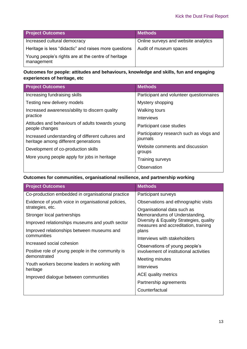| <b>Project Outcomes</b>                                           | <b>Methods</b>                       |
|-------------------------------------------------------------------|--------------------------------------|
| Increased cultural democracy                                      | Online surveys and website analytics |
| Heritage is less "didactic" and raises more questions             | Audit of museum spaces               |
| Young people's rights are at the centre of heritage<br>management |                                      |

### **Outcomes for people: attitudes and behaviours, knowledge and skills, fun and engaging experiences of heritage, etc**

| <b>Project Outcomes</b>                                                                   | <b>Methods</b>                                       |
|-------------------------------------------------------------------------------------------|------------------------------------------------------|
| Increasing fundraising skills                                                             | Participant and volunteer questionnaires             |
| Testing new delivery models                                                               | Mystery shopping                                     |
| Increased awareness/ability to discern quality                                            | <b>Walking tours</b>                                 |
| practice                                                                                  | Interviews                                           |
| Attitudes and behaviours of adults towards young<br>people changes                        | Participant case studies                             |
| Increased understanding of different cultures and<br>heritage among different generations | Participatory research such as vlogs and<br>journals |
| Development of co-production skills                                                       | Website comments and discussion<br>groups            |
| More young people apply for jobs in heritage                                              | Training surveys                                     |
|                                                                                           | Observation                                          |

## **Outcomes for communities, organisational resilience, and partnership working**

| <b>Project Outcomes</b>                                  | <b>Methods</b>                                                                   |  |
|----------------------------------------------------------|----------------------------------------------------------------------------------|--|
| Co-production embedded in organisational practice        | Participant surveys                                                              |  |
| Evidence of youth voice in organisational policies,      | Observations and ethnographic visits                                             |  |
| strategies, etc.                                         | Organisational data such as                                                      |  |
| Stronger local partnerships                              | Memorandums of Understanding,                                                    |  |
| Improved relationships museums and youth sector          | Diversity & Equality Strategies, quality<br>measures and accreditation, training |  |
| Improved relationships between museums and               | plans                                                                            |  |
| communities                                              | Interviews with stakeholders                                                     |  |
| Increased social cohesion                                | Observations of young people's                                                   |  |
| Positive role of young people in the community is        | involvement of institutional activities                                          |  |
| demonstrated                                             | Meeting minutes                                                                  |  |
| Youth workers become leaders in working with<br>heritage | Interviews                                                                       |  |
| Improved dialogue between communities                    | ACE quality metrics                                                              |  |
|                                                          | Partnership agreements                                                           |  |
|                                                          | Counterfactual                                                                   |  |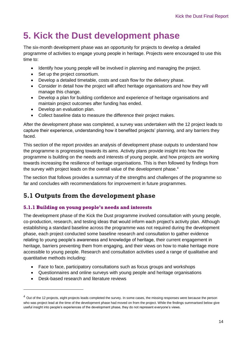# <span id="page-18-0"></span>**5. Kick the Dust development phase**

The six-month development phase was an opportunity for projects to develop a detailed programme of activities to engage young people in heritage. Projects were encouraged to use this time to:

- Identify how young people will be involved in planning and managing the project.
- Set up the project consortium.
- Develop a detailed timetable, costs and cash flow for the delivery phase.
- Consider in detail how the project will affect heritage organisations and how they will manage this change.
- Develop a plan for building confidence and experience of heritage organisations and maintain project outcomes after funding has ended.
- Develop an evaluation plan.
- Collect baseline data to measure the difference their project makes.

After the development phase was completed, a survey was undertaken with the 12 project leads to capture their experience, understanding how it benefited projects' planning, and any barriers they faced.

This section of the report provides an analysis of development phase outputs to understand how the programme is progressing towards its aims. Activity plans provide insight into how the programme is building on the needs and interests of young people, and how projects are working towards increasing the resilience of heritage organisations. This is then followed by findings from the survey with project leads on the overall value of the development phase.<sup>4</sup>

The section that follows provides a summary of the strengths and challenges of the programme so far and concludes with recommendations for improvement in future programmes.

## <span id="page-18-1"></span>**5.1 Outputs from the development phase**

#### **5.1.1 Building on young people's needs and interests**

The development phase of the Kick the Dust programme involved consultation with young people, co-production, research, and testing ideas that would inform each project's activity plan. Although establishing a standard baseline across the programme was not required during the development phase, each project conducted some baseline research and consultation to gather evidence relating to young people's awareness and knowledge of heritage, their current engagement in heritage, barriers preventing them from engaging, and their views on how to make heritage more accessible to young people. Research and consultation activities used a range of qualitative and quantitative methods including:

- Face to face, participatory consultations such as focus groups and workshops
- Questionnaires and online surveys with young people and heritage organisations
- Desk-based research and literature reviews

-

<sup>&</sup>lt;sup>4</sup> Out of the 12 projects, eight projects leads completed the survey. In some cases, the missing responses were because the person who was project lead at the time of the development phase had moved on from the project. While the findings summarised below give useful insight into people's experiences of the development phase, they do not represent everyone's views.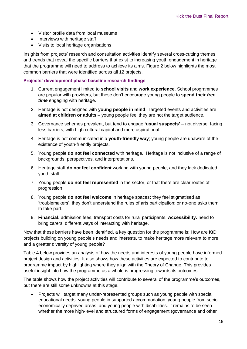- Visitor profile data from local museums
- Interviews with heritage staff
- Visits to local heritage organisations

Insights from projects' research and consultation activities identify several cross-cutting themes and trends that reveal the specific barriers that exist to increasing youth engagement in heritage that the programme will need to address to achieve its aims. Figure 2 below highlights the most common barriers that were identified across all 12 projects.

#### **Projects' development phase baseline research findings**

- 1. Current engagement limited to **school visits** and **work experience.** School programmes are popular with providers, but these don't encourage young people to **spend their** *free time* engaging with heritage.
- 2. Heritage is not designed with **young people in mind**. Targeted events and activities are **aimed at children or adults** – young people feel they are not the target audience.
- 3. Governance schemes prevalent, but tend to engage **'usual suspects'**  not diverse, facing less barriers, with high cultural capital and more aspirational.
- 4. Heritage is not communicated in a **youth-friendly way**; young people are unaware of the existence of youth-friendly projects.
- 5. Young people **do not feel connected** with heritage. Heritage is not inclusive of a range of backgrounds, perspectives, and interpretations.
- 6. Heritage staff **do not feel confident** working with young people, and they lack dedicated youth staff.
- 7. Young people **do not feel represented** in the sector, or that there are clear routes of progression
- 8. Young people **do not feel welcome** in heritage spaces**:** they feel stigmatised as 'troublemakers', they don't understand the rules of arts participation; or no-one asks them to take part.
- 9. **Financial:** admission fees, transport costs for rural participants. **Accessibility:** need to bring carers, different ways of interacting with heritage.

Now that these barriers have been identified, a key question for the programme is: How are KtD projects building on young people's needs and interests, to make heritage more relevant to more and a greater diversity of young people?

Table 4 below provides an analysis of how the needs and interests of young people have informed project design and activities. It also shows how these activities are expected to contribute to programme impact by highlighting where they align with the Theory of Change. This provides useful insight into how the programme as a whole is progressing towards its outcomes.

The table shows how the project activities will contribute to several of the programme's outcomes, but there are still some unknowns at this stage.

 Projects will target many under-represented groups such as young people with special educational needs, young people in supported accommodation, young people from socioeconomically deprived areas, and young people with disabilities. It remains to be seen whether the more high-level and structured forms of engagement (governance and other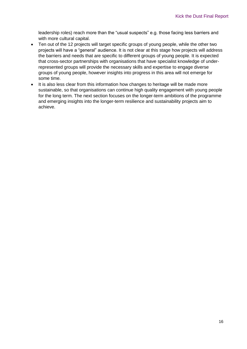leadership roles) reach more than the "usual suspects" e.g. those facing less barriers and with more cultural capital.

- Ten out of the 12 projects will target specific groups of young people, while the other two projects will have a "general" audience. It is not clear at this stage how projects will address the barriers and needs that are specific to different groups of young people. It is expected that cross-sector partnerships with organisations that have specialist knowledge of underrepresented groups will provide the necessary skills and expertise to engage diverse groups of young people, however insights into progress in this area will not emerge for some time.
- It is also less clear from this information how changes to heritage will be made more sustainable, so that organisations can continue high quality engagement with young people for the long term. The next section focuses on the longer-term ambitions of the programme and emerging insights into the longer-term resilience and sustainability projects aim to achieve.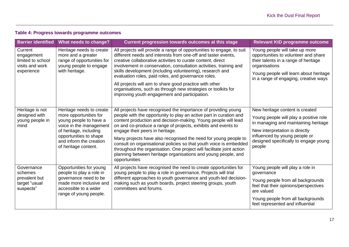## **Table 4: Progress towards programme outcomes**

| <b>Barrier identified</b>                                                   | <b>What needs to change?</b>                                                                                                                                                                                   | Current progression towards outcomes at this stage                                                                                                                                                                                                                                                                                                                                                                                                                                                                                                                                                             | <b>Relevant KtD programme outcome</b>                                                                                                                                                                                                   |
|-----------------------------------------------------------------------------|----------------------------------------------------------------------------------------------------------------------------------------------------------------------------------------------------------------|----------------------------------------------------------------------------------------------------------------------------------------------------------------------------------------------------------------------------------------------------------------------------------------------------------------------------------------------------------------------------------------------------------------------------------------------------------------------------------------------------------------------------------------------------------------------------------------------------------------|-----------------------------------------------------------------------------------------------------------------------------------------------------------------------------------------------------------------------------------------|
| Current<br>engagement<br>limited to school<br>visits and work<br>experience | Heritage needs to create<br>more and a greater<br>range of opportunities for<br>young people to engage<br>with heritage.                                                                                       | All projects will provide a range of opportunities to engage, to suit<br>different needs and interests from one-off and taster events,<br>creative collaborative activities to curate content, direct<br>involvement in conservation, consultation activities, training and<br>skills development (including volunteering), research and<br>evaluation roles, paid roles, and governance roles.<br>All projects will aim to share good practice with other<br>organisations, such as through new strategies or toolkits for<br>improving youth engagement and participation.                                   | Young people will take up more<br>opportunities to volunteer and share<br>their talents in a range of heritage<br>organisations<br>Young people will learn about heritage<br>in a range of engaging, creative ways                      |
| Heritage is not<br>designed with<br>young people in<br>mind                 | Heritage needs to create<br>more opportunities for<br>young people to have a<br>voice in the management<br>of heritage, including<br>opportunities to shape<br>and inform the creation<br>of heritage content. | All projects have recognised the importance of providing young<br>people with the opportunity to play an active part in curation and<br>content production and decision-making. Young people will lead<br>on and co-produce a range of projects, exhibits and events to<br>engage their peers in heritage.<br>Many projects have also recognised the need for young people to<br>consult on organisational policies so that youth voice is embedded<br>throughout the organisation. One project will facilitate joint action<br>planning between heritage organisations and young people, and<br>opportunities | New heritage content is created<br>Young people will play a positive role<br>in managing and maintaining heritage<br>New interpretation is directly<br>influenced by young people or<br>designed specifically to engage young<br>people |
| Governance<br>schemes<br>prevalent but<br>target "usual<br>suspects"        | Opportunities for young<br>people to play a role in<br>governance need to be<br>made more inclusive and<br>accessible to a wider<br>range of young people.                                                     | All projects have recognised the need to create opportunities for<br>young people to play a role in governance. Projects will trial<br>different approaches to youth governance and youth-led decision-<br>making such as youth boards, project steering groups, youth<br>committees and forums.                                                                                                                                                                                                                                                                                                               | Young people will play a role in<br>governance<br>Young people from all backgrounds<br>feel that their opinions/perspectives<br>are valued<br>Young people from all backgrounds<br>feel represented and influential                     |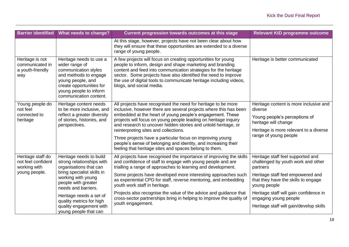| <b>Barrier identified</b>                                     | What needs to change?                                                                                                                                                                           | Current progression towards outcomes at this stage                                                                                                                                                                                                                                                                                                                | Relevant KtD programme outcome                                                           |
|---------------------------------------------------------------|-------------------------------------------------------------------------------------------------------------------------------------------------------------------------------------------------|-------------------------------------------------------------------------------------------------------------------------------------------------------------------------------------------------------------------------------------------------------------------------------------------------------------------------------------------------------------------|------------------------------------------------------------------------------------------|
|                                                               |                                                                                                                                                                                                 | At this stage, however, projects have not been clear about how<br>they will ensure that these opportunities are extended to a diverse<br>range of young people.                                                                                                                                                                                                   |                                                                                          |
| Heritage is not<br>communicated in<br>a youth-friendly<br>way | Heritage needs to use a<br>wider range of<br>communication styles<br>and methods to engage<br>young people, and<br>create opportunities for<br>young people to inform<br>communication content. | A few projects will focus on creating opportunities for young<br>people to inform, design and shape marketing and branding<br>content and feed into communication strategies for the heritage<br>sector. Some projects have also identified the need to improve<br>the use of digital tools to communicate heritage including videos,<br>blogs, and social media. | Heritage is better communicated                                                          |
| Young people do<br>not feel                                   | Heritage content needs<br>to be more inclusive, and                                                                                                                                             | All projects have recognised the need for heritage to be more<br>inclusive, however there are several projects where this has been                                                                                                                                                                                                                                | Heritage content is more inclusive and<br>diverse                                        |
| connected to<br>heritage                                      | reflect a greater diversity<br>of stories, histories, and<br>perspectives.                                                                                                                      | embedded at the heart of young people's engagement. These<br>projects will focus on young people leading on heritage inquiry<br>and research to uncover hidden stories and untold heritage, or                                                                                                                                                                    | Young people's perceptions of<br>heritage will change                                    |
|                                                               |                                                                                                                                                                                                 | reinterpreting sites and collections.                                                                                                                                                                                                                                                                                                                             | Heritage is more relevant to a diverse                                                   |
|                                                               |                                                                                                                                                                                                 | Three projects have a particular focus on improving young<br>people's sense of belonging and identity, and increasing their<br>feeling that heritage sites and spaces belong to them.                                                                                                                                                                             | range of young people                                                                    |
| Heritage staff do<br>not feel confident<br>working with       | Heritage needs to build<br>strong relationships with<br>organisations that can                                                                                                                  | All projects have recognised the importance of improving the skills<br>and confidence of staff to engage with young people and are<br>trialling a range of approaches to learning and development.                                                                                                                                                                | Heritage staff feel supported and<br>challenged by youth work and other<br>partners      |
| young people.                                                 | bring specialist skills in<br>working with young<br>people with greater<br>needs and barriers.                                                                                                  | Some projects have developed more interesting approaches such<br>as experiential CPD for staff, reverse mentoring, and embedding<br>youth work staff in heritage.                                                                                                                                                                                                 | Heritage staff feel empowered and<br>that they have the skills to engage<br>young people |
|                                                               | Heritage needs a set of<br>quality metrics for high                                                                                                                                             | Projects also recognise the value of the advice and guidance that<br>cross-sector partnerships bring in helping to improve the quality of                                                                                                                                                                                                                         | Heritage staff will gain confidence in<br>engaging young people                          |
|                                                               | quality engagement with<br>young people that can                                                                                                                                                | youth engagement.                                                                                                                                                                                                                                                                                                                                                 | Heritage staff will gain/develop skills                                                  |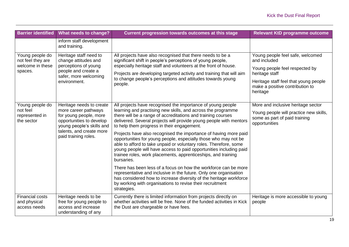| <b>Barrier identified</b>                              | What needs to change?                                                                                   | Current progression towards outcomes at this stage                                                                                                                                                                                                                                                                                                            | <b>Relevant KtD programme outcome</b>                                                    |
|--------------------------------------------------------|---------------------------------------------------------------------------------------------------------|---------------------------------------------------------------------------------------------------------------------------------------------------------------------------------------------------------------------------------------------------------------------------------------------------------------------------------------------------------------|------------------------------------------------------------------------------------------|
|                                                        | inform staff development<br>and training.                                                               |                                                                                                                                                                                                                                                                                                                                                               |                                                                                          |
| Young people do<br>not feel they are                   | Heritage staff need to<br>change attitudes and                                                          | All projects have also recognised that there needs to be a<br>significant shift in people's perceptions of young people,                                                                                                                                                                                                                                      | Young people feel safe, welcomed<br>and included                                         |
| welcome in these<br>spaces.                            | perceptions of young<br>people and create a<br>safer, more welcoming                                    | especially heritage staff and volunteers at the front of house.<br>Projects are developing targeted activity and training that will aim                                                                                                                                                                                                                       | Young people feel respected by<br>heritage staff                                         |
|                                                        | environment.                                                                                            | to change people's perceptions and attitudes towards young<br>people.                                                                                                                                                                                                                                                                                         | Heritage staff feel that young people<br>make a positive contribution to<br>heritage     |
| Young people do                                        | Heritage needs to create                                                                                | All projects have recognised the importance of young people                                                                                                                                                                                                                                                                                                   | More and inclusive heritage sector                                                       |
| not feel<br>represented in<br>the sector               | more career pathways<br>for young people, more<br>opportunities to develop<br>young people's skills and | learning and practising new skills, and across the programme<br>there will be a range of accreditations and training courses<br>delivered. Several projects will provide young people with mentors<br>to help them progress in their engagement.                                                                                                              | Young people will practice new skills,<br>some as part of paid training<br>opportunities |
|                                                        | talents, and create more<br>paid training roles.                                                        | Projects have also recognised the importance of having more paid<br>opportunities for young people, especially those who may not be<br>able to afford to take unpaid or voluntary roles. Therefore, some<br>young people will have access to paid opportunities including paid<br>trainee roles, work placements, apprenticeships, and training<br>bursaries. |                                                                                          |
|                                                        |                                                                                                         | There has been less of a focus on how the workforce can be more<br>representative and inclusive in the future. Only one organisation<br>has considered how to increase diversity of the heritage workforce<br>by working with organisations to revise their recruitment<br>strategies.                                                                        |                                                                                          |
| <b>Financial costs</b><br>and physical<br>access needs | Heritage needs to be<br>free for young people to<br>access and increase<br>understanding of any         | Currently there is limited information from projects directly on<br>whether activities will be free. None of the funded activities in Kick<br>the Dust are chargeable or have fees.                                                                                                                                                                           | Heritage is more accessible to young<br>people                                           |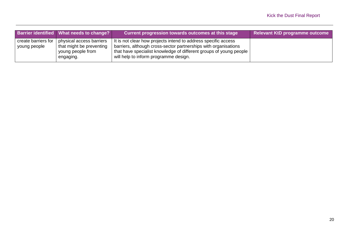|                                     | Barrier identified What needs to change?                                               | Current progression towards outcomes at this stage                                                                                                                                                                                                 | Relevant KtD programme outcome |
|-------------------------------------|----------------------------------------------------------------------------------------|----------------------------------------------------------------------------------------------------------------------------------------------------------------------------------------------------------------------------------------------------|--------------------------------|
| create barriers for<br>young people | physical access barriers<br>that might be preventing<br>young people from<br>engaging. | It is not clear how projects intend to address specific access<br>barriers, although cross-sector partnerships with organisations<br>that have specialist knowledge of different groups of young people  <br>will help to inform programme design. |                                |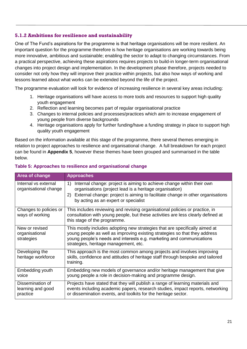### **5.1.2 Ambitions for resilience and sustainability**

One of The Fund's aspirations for the programme is that heritage organisations will be more resilient. An important question for the programme therefore is how heritage organisations are working towards being more innovative, ambitious and sustainable; enabling the sector to adapt to changing circumstances. From a practical perspective, achieving these aspirations requires projects to build-in longer-term organisational changes into project design and implementation. In the development phase therefore, projects needed to consider not only how they will improve their practice within projects, but also how ways of working and lessons learned about what works can be extended beyond the life of the project.

The programme evaluation will look for evidence of increasing resilience in several key areas including:

- 1. Heritage organisations will have access to more tools and resources to support high quality youth engagement
- 2. Reflection and learning becomes part of regular organisational practice
- 3. Changes to internal policies and processes/practices which aim to increase engagement of young people from diverse backgrounds
- 4. Heritage organisations apply for further funding/have a funding strategy in place to support high quality youth engagement

Based on the information available at this stage of the programme, there several themes emerging in relation to project approaches to resilience and organisational change. A full breakdown for each project can be found in **Appendix 5**, however these themes have been grouped and summarised in the table below.

| Area of change                                    | <b>Approaches</b>                                                                                                                                                                                                                                                          |
|---------------------------------------------------|----------------------------------------------------------------------------------------------------------------------------------------------------------------------------------------------------------------------------------------------------------------------------|
| Internal vs external<br>organisational change     | Internal change: project is aiming to achieve change within their own<br>1)<br>organisations (project lead is a heritage organisation)<br>External change: project is aiming to facilitate change in other organisations<br>2)<br>by acting as an expert or specialist     |
| Changes to policies or<br>ways of working         | This includes reviewing and revising organisational policies or practice, in<br>consultation with young people, but these activities are less clearly defined at<br>this stage of the programme.                                                                           |
| New or revised<br>organisational<br>strategies    | This mostly includes adopting new strategies that are specifically aimed at<br>young people as well as improving existing strategies so that they address<br>young people's needs and interests e.g. marketing and communications<br>strategies, heritage management, etc. |
| Developing the<br>heritage workforce              | This approach is the most common among projects and involves improving<br>skills, confidence and attitudes of heritage staff through bespoke and tailored<br>training.                                                                                                     |
| Embedding youth<br>voice                          | Embedding new models of governance and/or heritage management that give<br>young people a role in decision-making and programme design.                                                                                                                                    |
| Dissemination of<br>learning and good<br>practice | Projects have stated that they will publish a range of learning materials and<br>events including academic papers, research studies, impact reports, networking<br>or dissemination events, and toolkits for the heritage sector.                                          |

#### **Table 5: Approaches to resilience and organisational change**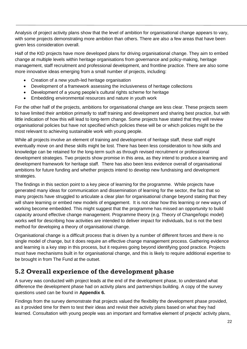Analysis of project activity plans show that the level of ambition for organisational change appears to vary, with some projects demonstrating more ambition than others. There are also a few areas that have been given less consideration overall.

Half of the KtD projects have more developed plans for driving organisational change. They aim to embed change at multiple levels within heritage organisations from governance and policy-making, heritage management, staff recruitment and professional development, and frontline practice. There are also some more innovative ideas emerging from a small number of projects, including:

- Creation of a new youth-led heritage organisation
- Development of a framework assessing the inclusiveness of heritage collections
- Development of a young people's cultural rights scheme for heritage
- Embedding environmental resources and nature in youth work

For the other half of the projects, ambitions for organisational change are less clear. These projects seem to have limited their ambition primarily to staff training and development and sharing best practice, but with little indication of how this will lead to long-term change. Some projects have stated that they will review organisational policies but have not specified which policies these will be or which policies might be the most relevant to achieving sustainable work with young people.

While all projects involve an element of training and development of heritage staff, these staff might eventually move on and these skills might be lost. There has been less consideration to how skills and knowledge can be retained for the long-term such as through revised recruitment or professional development strategies. Two projects show promise in this area, as they intend to produce a learning and development framework for heritage staff. There has also been less evidence overall of organisational ambitions for future funding and whether projects intend to develop new fundraising and development strategies.

The findings in this section point to a key piece of learning for the programme. While projects have generated many ideas for communication and dissemination of learning for the sector, the fact that so many projects have struggled to articulate a clear plan for organisational change beyond stating that they will share learning or embed new models of engagement. It is not clear how this learning or new ways of working become embedded. This might suggest that the programme has missed an opportunity to build capacity around effective change management. Programme theory (e.g. Theory of Change/logic model) works well for describing how activities are intended to deliver impact for individuals, but is not the best method for developing a theory of organisational change.

Organisational change is a difficult process that is driven by a number of different forces and there is no single model of change, but it does require an effective change management process. Gathering evidence and learning is a key step in this process, but it requires going beyond identifying good practice. Projects must have mechanisms built in for organisational change, and this is likely to require additional expertise to be brought in from The Fund at the outset.

## <span id="page-26-0"></span>**5.2 Overall experience of the development phase**

A survey was conducted with project leads at the end of the development phase, to understand what difference the development phase had on activity plans and partnerships building. A copy of the survey questions used can be found in **Appendix 6.**

Findings from the survey demonstrate that projects valued the flexibility the development phase provided, as it provided time for them to test their ideas and revisit their activity plans based on what they had learned. Consultation with young people was an important and formative element of projects' activity plans,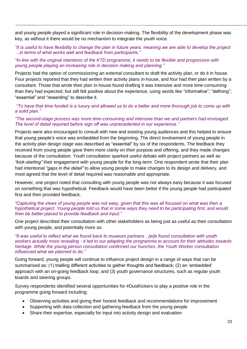and young people played a significant role in decision-making. The flexibility of the development phase was key, as without it there would be no mechanism to integrate the youth voice.

#### *"It is useful to have flexibility to change the plan in future years, meaning we are able to develop the project …in terms of what works well and feedback from participants."*

#### *"In-line with the original intentions of the KTD programme, it needs to be flexible and progressive with young people playing an increasing role in decision making and planning."*

Projects had the option of commissioning an external consultant to draft the activity plan, or do it in house. Four projects reported that they had written their activity plans in-house, and four had their plan written by a consultant. Those that wrote their plan in-house found drafting it was intensive and more time-consuming than they had expected, but still felt positive about the experience, using words like "informative"; "defining"; "essential" and "rewarding" to describe it.

#### *"To have that time funded is a luxury and allowed us to do a better and more thorough job to come up with a solid plan."*

#### *"The second-stage process was more time-consuming and intensive than we and partners had envisaged. The level of detail required before sign off was unprecedented in our experience."*

Projects were also encouraged to consult with new and existing young audiences and this helped to ensure that young people's voice was embedded from the beginning. The direct involvement of young people in the activity plan design stage was described as "essential" by six of the respondents. The feedback they received from young people gave them more clarity on their purpose and offering, and they made changes because of the consultation. Youth consultation sparked useful debate with project partners as well as *"kick-starting"* their engagement with young people for the long-term. One respondent wrote that their plan had intentional *"gaps in the detail"* to allow young people to make changes to its design and delivery, and most agreed that the level of detail required was reasonable and appropriate.

However, one project noted that consulting with young people was not always easy because it was focused on something that was hypothetical. Feedback would have been better if the young people had participated first and then provided feedback.

#### *"Capturing the views of young people was not easy, given that this was all focused on what was then a hypothetical project. Young people told us that in some ways they need to be participating first, and would then be better placed to provide feedback and input."*

One project described their consultation with other stakeholders as being just as useful as their consultation with young people, and potentially more so.

#### *"It was useful to reflect what we found back to museum partners…[w]e found consultation with youth workers actually more revealing - it led to our adapting the programme to account for their attitudes towards heritage. While the young person consultation confirmed our hunches, the Youth Worker consultation influenced what we planned to do."*

Going forward, young people will continue to influence project design in a range of ways that can be summarised as: (1) trialling different activities to gather thoughts and feedback; (2) an 'embedded' approach with an on-going feedback loop; and (3) youth governance structures, such as regular youth boards and steering groups.

Survey respondents identified several opportunities for #DustKickers to play a positive role in the programme going forward including:

- Observing activities and giving their honest feedback and recommendations for improvement
- Supporting with data collection and gathering feedback from the young people
- Share their expertise, especially for input into activity design and evaluation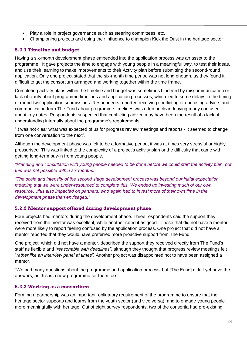- Play a role in project governance such as steering committees, etc.
- Championing projects and using their influence to champion Kick the Dust in the heritage sector

## **5.2.1 Timeline and budget**

Having a six-month development phase embedded into the application process was an asset to the programme. It gave projects the time to engage with young people in a meaningful way, to test their ideas, and use their learning to make improvements to their Activity plan before submitting the second-round application. Only one project stated that the six-month time period was not long enough, as they found it difficult to get the consortium arranged and working together within the time frame.

Completing activity plans within the timeline and budget was sometimes hindered by miscommunication or lack of clarity about programme timelines and application processes, which led to some delays in the timing of round-two application submissions. Respondents reported receiving conflicting or confusing advice, and communication from The Fund about programme timelines was often unclear, leaving many confused about key dates. Respondents suspected that conflicting advice may have been the result of a lack of understanding internally about the programme's requirements.

"It was not clear what was expected of us for progress review meetings and reports - it seemed to change from one conversation to the next".

Although the development phase was felt to be a formative period, it was at times very stressful or highly pressurised. This was linked to the complexity of a project's activity plan or the difficulty that came with getting long-term buy-in from young people.

*"Planning and consultation with young people needed to be done before we could start the activity plan, but this was not possible within six months."* 

*"The scale and intensity of the second stage development process was beyond our initial expectation, meaning that we were under-resourced to complete this. We ended up investing much of our own resource…this also impacted on partners, who again had to invest more of their own time in the development phase than envisaged."*

## **5.2.2 Mentor support offered during development phase**

Four projects had mentors during the development phase. Three respondents said the support they received from the mentor was excellent*,* while another rated it as good. Those that did not have a mentor were more likely to report feeling confused by the application process. One project that did not have a mentor reported that they would have preferred more proactive support from The Fund.

One project, which did not have a mentor, described the support they received directly from The Fund's staff as flexible and *"reasonable with deadlines"*, although they thought that progress review meetings felt "*rather like an interview panel at times".* Another project was disappointed not to have been assigned a mentor.

"We had many questions about the programme and application process, but [The Fund] didn't yet have the answers, as this is a new programme for them too".

## **5.2.3 Working as a consortium**

Forming a partnership was an important, obligatory requirement of the programme to ensure that the heritage sector supports and learns from the youth sector (and vice versa), and to engage young people more meaningfully with heritage. Out of eight survey respondents, two of the consortia had pre-existing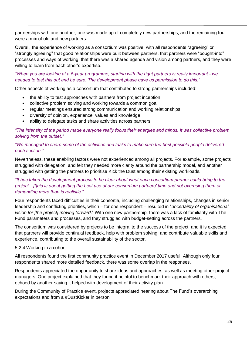partnerships with one another; one was made up of completely new partnerships; and the remaining four were a mix of old and new partners.

Overall, the experience of working as a consortium was positive, with all respondents "agreeing" or "strongly agreeing" that good relationships were built between partners, that partners were "bought-into" processes and ways of working, that there was a shared agenda and vision among partners, and they were willing to learn from each other's expertise.

#### *"When you are looking at a 5-year programme, starting with the right partners is really important - we needed to test this out and be sure. The development phase gave us permission to do this."*

Other aspects of working as a consortium that contributed to strong partnerships included:

- the ability to test approaches with partners from project inception
- collective problem solving and working towards a common goal
- regular meetings ensured strong communication and working relationships
- diversity of opinion, experience, values and knowledge
- ability to delegate tasks and share activities across partners

*"The intensity of the period made everyone really focus their energies and minds. It was collective problem solving from the outset."*

#### *"We managed to share some of the activities and tasks to make sure the best possible people delivered each section."*

Nevertheless, these enabling factors were not experienced among all projects. For example, some projects struggled with delegation, and felt they needed more clarity around the partnership model, and another struggled with getting the partners to prioritise Kick the Dust among their existing workloads.

#### *"It has taken the development process to be clear about what each consortium partner could bring to the project…[t]his is about getting the best use of our consortium partners' time and not overusing them or demanding more than is realistic."*

Four respondents faced difficulties in their consortia, including challenging relationships, changes in senior leadership and conflicting priorities, which – for one respondent – resulted in "*uncertainty of organisational vision for [the project] moving forward*." With one new partnership, there was a lack of familiarity with The Fund parameters and processes, and they struggled with budget-setting across the partners.

The consortium was considered by projects to be integral to the success of the project, and it is expected that partners will provide continual feedback, help with problem solving, and contribute valuable skills and experience, contributing to the overall sustainability of the sector.

#### 5.2.4 Working in a cohort

All respondents found the first community practice event in December 2017 useful. Although only four respondents shared more detailed feedback, there was some overlap in the responses.

Respondents appreciated the opportunity to share ideas and approaches, as well as meeting other project managers. One project explained that they found it helpful to benchmark their approach with others, echoed by another saying it helped with development of their activity plan.

During the Community of Practice event, projects appreciated hearing about The Fund's overarching expectations and from a #DustKicker in person.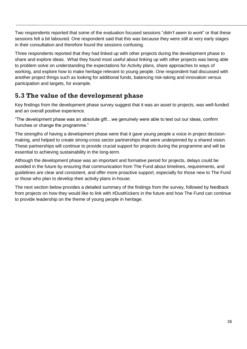Two respondents reported that some of the evaluation focused sessions "*didn't seem to work*" or that these sessions felt a bit laboured. One respondent said that this was because they were still at very early stages in their consultation and therefore found the sessions confusing.

Three respondents reported that they had linked up with other projects during the development phase to share and explore ideas. What they found most useful about linking up with other projects was being able to problem solve on understanding the expectations for Activity plans, share approaches to ways of working, and explore how to make heritage relevant to young people. One respondent had discussed with another project things such as looking for additional funds, balancing risk-taking and innovation versus participation and targets, for example.

# <span id="page-30-0"></span>**5.3 The value of the development phase**

Key findings from the development phase survey suggest that it was an asset to projects, was well-funded and an overall positive experience.

"The development phase was an absolute gift…we genuinely were able to test out our ideas, confirm hunches or change the programme."

The strengths of having a development phase were that it gave young people a voice in project decisionmaking, and helped to create strong-cross sector partnerships that were underpinned by a shared vision. These partnerships will continue to provide crucial support for projects during the programme and will be essential to achieving sustainability in the long-term.

Although the development phase was an important and formative period for projects, delays could be avoided in the future by ensuring that communication from The Fund about timelines, requirements, and guidelines are clear and consistent, and offer more proactive support, especially for those new to The Fund or those who plan to develop their activity plans in-house.

<span id="page-30-1"></span>The next section below provides a detailed summary of the findings from the survey, followed by feedback from projects on how they would like to link with #DustKickers in the future and how The Fund can continue to provide leadership on the theme of young people in heritage.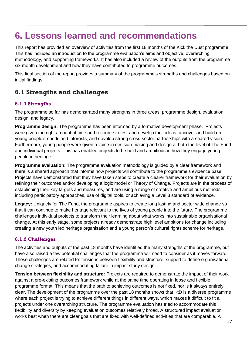# **6. Lessons learned and recommendations**

This report has provided an overview of activities from the first 18 months of the Kick the Dust programme. This has included an introduction to the programme evaluation's aims and objective, overarching methodology, and supporting frameworks. It has also included a review of the outputs from the programme six-month development and how they have contributed to programme outcomes.

This final section of the report provides a summary of the programme's strengths and challenges based on initial findings.

# <span id="page-31-0"></span>**6.1 Strengths and challenges**

## **6.1.1 Strengths**

The programme so far has demonstrated many strengths in three areas: programme design, evaluation design, and legacy.

**Programme design:** The programme has been informed by a formative development phase. Projects were given the right amount of time and resource to test and develop their ideas, uncover and build on young people's needs and interests, and develop strong cross-sector partnerships with a shared vision. Furthermore, young people were given a voice in decision-making and design at both the level of The Fund and individual projects. This has enabled projects to be bold and ambitious in how they engage young people in heritage.

**Programme evaluation:** The programme evaluation methodology is guided by a clear framework and there is a shared approach that informs how projects will contribute to the programme's evidence base. Projects have demonstrated that they have taken steps to create a clearer framework for their evaluation by refining their outcomes and/or developing a logic model or Theory of Change. Projects are in the process of establishing their key targets and measures, and are using a range of creative and ambitious methods including participatory approaches, use of digital tools, or achieving a Level 3 standard of evidence.

**Legacy:** Uniquely for The Fund, the programme aspires to create long lasting and sector wide change so that it can continue to make heritage relevant to the lives of young people into the future. The programme challenges individual projects to transform their learning about what works into sustainable organisational change. At this early stage, some projects already demonstrate high level ambitions for change including creating a new youth led heritage organisation and a young person's cultural rights scheme for heritage.

## **6.1.2 Challenges**

The activities and outputs of the past 18 months have identified the many strengths of the programme, but have also raised a few potential challenges that the programme will need to consider as it moves forward. These challenges are related to: tensions between flexibility and structure; support to define organisational change strategies, and accommodating failure in impact study design.

**Tension between flexibility and structure:** Projects are required to demonstrate the impact of their work against a pre-existing outcomes framework while at the same time operating in loose and flexible programme format. This means that the path to achieving outcomes is not fixed, nor is it always entirely clear. The development of the programme over the past 18 months shows that KtD is a diverse programme where each project is trying to achieve different things in different ways, which makes it difficult to fit all projects under one overarching structure. The programme evaluation has tried to accommodate this flexibility and diversity by keeping evaluation outcomes relatively broad. A structured impact evaluation works best when there are clear goals that are fixed with well-defined activities that are comparable. A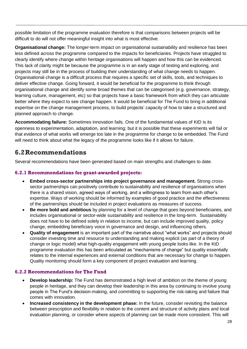possible limitation of the programme evaluation therefore is that comparisons between projects will be difficult to do will not offer meaningful insight into what is most effective.

**Organisational change:** The longer-term impact on organisational sustainability and resilience has been less defined across the programme compared to the impacts for beneficiaries. Projects have struggled to clearly identify where change within heritage organisations will happen and how this can be evidenced. This lack of clarity might be because the programme is in an early stage of testing and exploring, and projects may still be in the process of building their understanding of what change needs to happen. Organisational change is a difficult process that requires a specific set of skills, tools, and techniques to deliver effective change. Going forward, it would be beneficial for the programme to think through organisational change and identify some broad themes that can be categorised (e.g. governance, strategy, learning culture, management, etc) so that projects have a basic framework from which they can articulate better where they expect to see change happen. It would be beneficial for The Fund to bring in additional expertise on the change management process, to build projects' capacity of how to take a structured and planned approach to change.

**Accommodating failure:** Sometimes innovation fails. One of the fundamental values of KtD is its openness to experimentation, adaptation, and learning; but it is possible that these experiments will fail or that evidence of what works will emerge too late in the programme for change to be embedded. The Fund will need to think about what the legacy of the programme looks like if it allows for failure.

## <span id="page-32-0"></span>**6.2Recommendations**

Several recommendations have been generated based on main strengths and challenges to date.

## **6.2.1 Recommendations for grant-awarded projects:**

- **Embed cross-sector partnerships into project governance and management.** Strong crosssector partnerships can positively contribute to sustainability and resilience of organisations when there is a shared vision, agreed ways of working, and a willingness to learn from each other's expertise. Ways of working should be informed by examples of good practice and the effectiveness of the partnerships should be included in project evaluations as measures of success.
- **Be more bold and ambitious** by planning for a level of change that goes beyond beneficiaries, and includes organisational or sector-wide sustainability and resilience in the long-term. Sustainability does not have to be defined solely in relation to income, but can include improved quality, policy change, embedding beneficiary voice in governance and design, and influencing others.
- **Quality of engagement** is an important part of the narrative about "what works" and projects should consider investing time and resource to understanding and making explicit (as part of a theory of change or logic model) what high-quality engagement with young people looks like. In the KtD programme evaluation this has been articulated as "mechanisms of change" but quality essentially relates to the internal experiences and external conditions that are necessary for change to happen. Quality monitoring should form a key component of project evaluation and learning.

## **6.2.2 Recommendations for The Fund**

- **Develop leadership:** The Fund has demonstrated a high level of ambition on the theme of young people in heritage, and they can develop their leadership in this area by continuing to involve young people in The Fund's decision-making, and committing to supporting the risk-taking and failure that comes with innovation.
- **Increased consistency in the development phase:** In the future, consider revisiting the balance between prescription and flexibility in relation to the content and structure of activity plans and local evaluation planning, or consider where aspects of planning can be made more consistent. This will